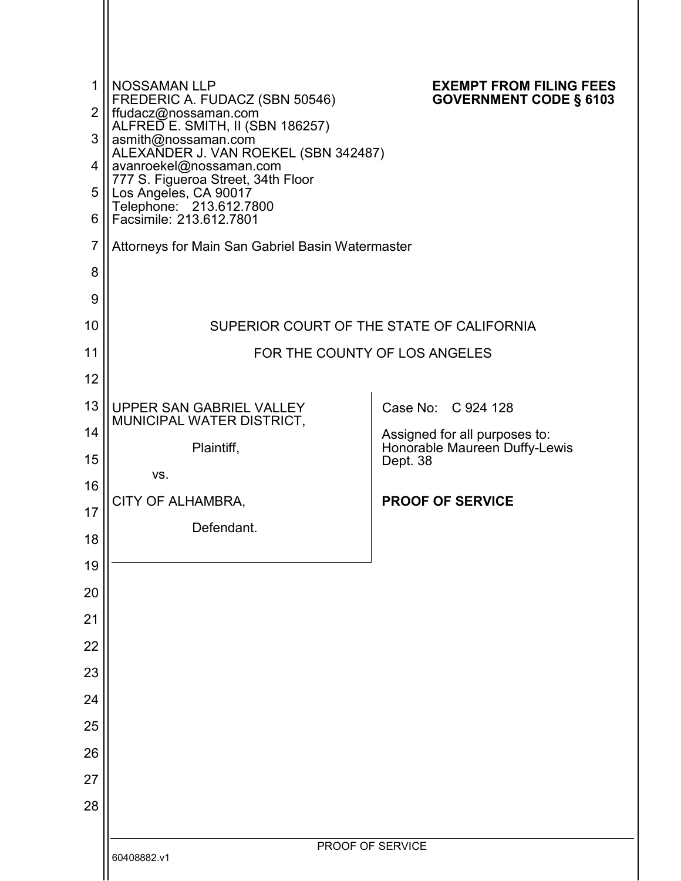| 1              | <b>NOSSAMAN LLP</b><br>FREDERIC A. FUDACZ (SBN 50546)                       | <b>EXEMPT FROM FILING FEES</b><br><b>GOVERNMENT CODE § 6103</b> |
|----------------|-----------------------------------------------------------------------------|-----------------------------------------------------------------|
| $\overline{2}$ | ffudacz@nossaman.com`<br>ALFRED E. SMITH, II (SBN 186257)                   |                                                                 |
| 3              | asmith@nossaman.com<br>ALEXANDER J. VAN ROEKEL (SBN 342487)                 |                                                                 |
| 4<br>5         | avanroekel@nossaman.com<br>777 S. Figueroa Street, 34th Floor               |                                                                 |
| 6              | Los Angeles, CA 90017<br>Telephone: 213.612.7800<br>Facsimile: 213.612.7801 |                                                                 |
| $\overline{7}$ | Attorneys for Main San Gabriel Basin Watermaster                            |                                                                 |
| 8              |                                                                             |                                                                 |
| 9              |                                                                             |                                                                 |
| 10             |                                                                             | SUPERIOR COURT OF THE STATE OF CALIFORNIA                       |
| 11             |                                                                             | FOR THE COUNTY OF LOS ANGELES                                   |
| 12             |                                                                             |                                                                 |
| 13             | UPPER SAN GABRIEL VALLEY<br>MUNICIPAL WATER DISTRICT,                       | Case No: C 924 128                                              |
| 14             | Plaintiff,                                                                  | Assigned for all purposes to:<br>Honorable Maureen Duffy-Lewis  |
| 15             | VS.                                                                         | Dept. 38                                                        |
| 16<br>17       | CITY OF ALHAMBRA,                                                           | <b>PROOF OF SERVICE</b>                                         |
| 18             | Defendant.                                                                  |                                                                 |
| 19             |                                                                             |                                                                 |
| 20             |                                                                             |                                                                 |
| 21             |                                                                             |                                                                 |
| 22             |                                                                             |                                                                 |
| 23             |                                                                             |                                                                 |
| 24             |                                                                             |                                                                 |
| 25             |                                                                             |                                                                 |
| 26             |                                                                             |                                                                 |
| 27             |                                                                             |                                                                 |
| 28             |                                                                             |                                                                 |
|                |                                                                             | PROOF OF SERVICE                                                |
|                | 60408882.v1                                                                 |                                                                 |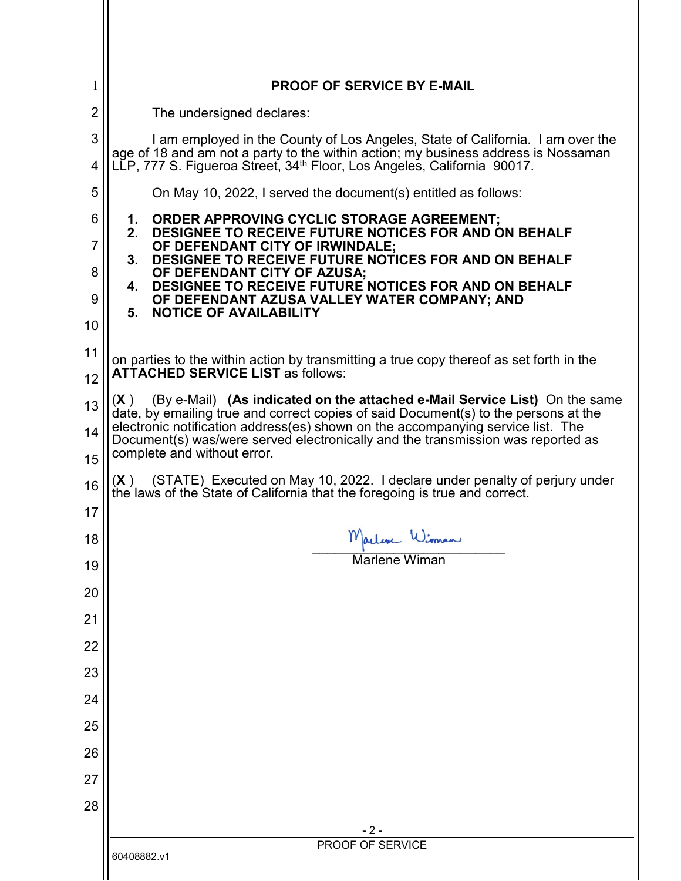| 1                   | <b>PROOF OF SERVICE BY E-MAIL</b>                                                                                                                                                                                                                           |  |  |
|---------------------|-------------------------------------------------------------------------------------------------------------------------------------------------------------------------------------------------------------------------------------------------------------|--|--|
| $\overline{2}$      | The undersigned declares:                                                                                                                                                                                                                                   |  |  |
| 3                   | I am employed in the County of Los Angeles, State of California. I am over the<br>age of 18 and am not a party to the within action; my business address is Nossaman                                                                                        |  |  |
| 4                   | LLP, 777 S. Figueroa Street, 34 <sup>th</sup> Floor, Los Angeles, California 90017.                                                                                                                                                                         |  |  |
| 5                   | On May 10, 2022, I served the document(s) entitled as follows:                                                                                                                                                                                              |  |  |
| 6<br>$\overline{7}$ | <b>ORDER APPROVING CYCLIC STORAGE AGREEMENT;</b><br>1.<br>DESIGNEE TO RECEIVE FUTURE NOTICES FOR AND ON BEHALF<br>2.<br>OF DEFENDANT CITY OF IRWINDALE;                                                                                                     |  |  |
| 8                   | DESIGNEE TO RECEIVE FUTURE NOTICES FOR AND ON BEHALF<br>3.<br>OF DEFENDANT CITY OF AZUSA;                                                                                                                                                                   |  |  |
| 9                   | DESIGNEE TO RECEIVE FUTURE NOTICES FOR AND ON BEHALF<br>4.<br>OF DEFENDANT AZUSA VALLEY WATER COMPANY; AND                                                                                                                                                  |  |  |
| 10                  | <b>NOTICE OF AVAILABILITY</b><br>5.                                                                                                                                                                                                                         |  |  |
| 11                  | on parties to the within action by transmitting a true copy thereof as set forth in the                                                                                                                                                                     |  |  |
| 12                  | <b>ATTACHED SERVICE LIST as follows:</b>                                                                                                                                                                                                                    |  |  |
| 13<br>14            | (By e-Mail) (As indicated on the attached e-Mail Service List) On the same<br>(X)<br>date, by emailing true and correct copies of said Document(s) to the persons at the<br>electronic notification address(es) shown on the accompanying service list. The |  |  |
| 15                  | Document(s) was/were served electronically and the transmission was reported as<br>complete and without error.                                                                                                                                              |  |  |
| 16                  | $(X)$ (STATE) Executed on May 10, 2022. I declare under penalty of perjury under<br>the laws of the State of California that the foregoing is true and correct.                                                                                             |  |  |
| 17                  |                                                                                                                                                                                                                                                             |  |  |
| 18                  | Marline Winnam<br><b>Marlene Wiman</b>                                                                                                                                                                                                                      |  |  |
| 19                  |                                                                                                                                                                                                                                                             |  |  |
| 20                  |                                                                                                                                                                                                                                                             |  |  |
| 21                  |                                                                                                                                                                                                                                                             |  |  |
| 22                  |                                                                                                                                                                                                                                                             |  |  |
| 23                  |                                                                                                                                                                                                                                                             |  |  |
| 24                  |                                                                                                                                                                                                                                                             |  |  |
| 25                  |                                                                                                                                                                                                                                                             |  |  |
| 26                  |                                                                                                                                                                                                                                                             |  |  |
| 27                  |                                                                                                                                                                                                                                                             |  |  |
| 28                  |                                                                                                                                                                                                                                                             |  |  |
|                     | $-2-$<br>PROOF OF SERVICE                                                                                                                                                                                                                                   |  |  |
|                     | 60408882.v1                                                                                                                                                                                                                                                 |  |  |

 $\mathcal{L}$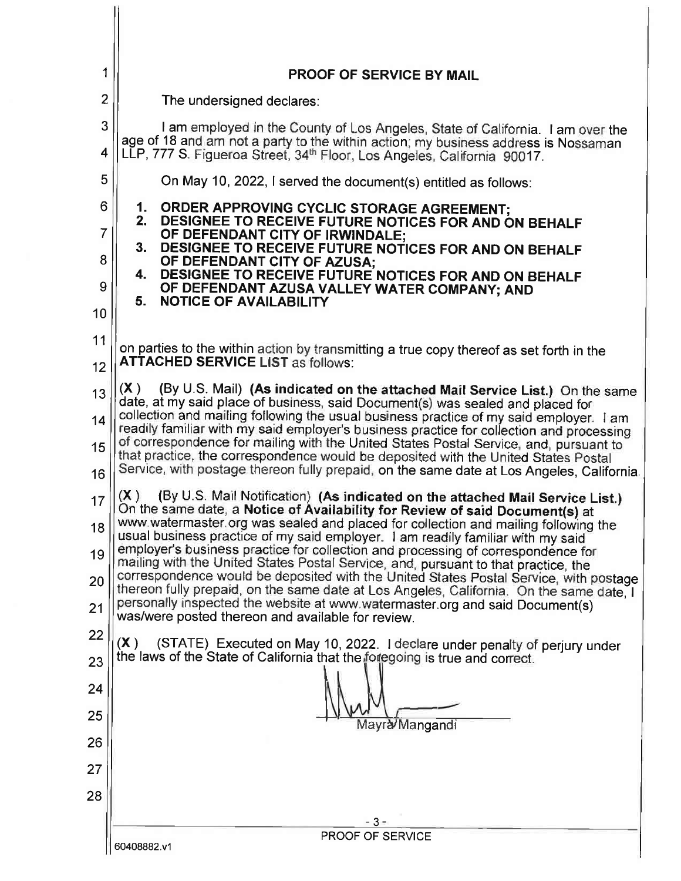| 1                   | <b>PROOF OF SERVICE BY MAIL</b>                                                                                                                                                                                                                                          |  |  |
|---------------------|--------------------------------------------------------------------------------------------------------------------------------------------------------------------------------------------------------------------------------------------------------------------------|--|--|
| $\overline{2}$      | The undersigned declares:                                                                                                                                                                                                                                                |  |  |
| 3<br>4              | I am employed in the County of Los Angeles, State of California. I am over the<br>age of 18 and am not a party to the within action; my business address is Nossaman<br>LLP, 777 S. Figueroa Street, 34 <sup>th</sup> Floor, Los Angeles, California 90017.              |  |  |
| 5                   | On May 10, 2022, I served the document(s) entitled as follows:                                                                                                                                                                                                           |  |  |
| 6<br>$\overline{7}$ | 1.<br>ORDER APPROVING CYCLIC STORAGE AGREEMENT;<br>2.<br>DESIGNEE TO RECEIVE FUTURE NOTICES FOR AND ON BEHALF<br>OF DEFENDANT CITY OF IRWINDALE;                                                                                                                         |  |  |
| 8                   | 3.<br>DESIGNEE TO RECEIVE FUTURE NOTICES FOR AND ON BEHALF<br>OF DEFENDANT CITY OF AZUSA;                                                                                                                                                                                |  |  |
| 9                   | DESIGNEE TO RECEIVE FUTURE NOTICES FOR AND ON BEHALF<br>4.<br>OF DEFENDANT AZUSA VALLEY WATER COMPANY; AND<br>5.<br><b>NOTICE OF AVAILABILITY</b>                                                                                                                        |  |  |
| 10                  |                                                                                                                                                                                                                                                                          |  |  |
| 11<br>12            | on parties to the within action by transmitting a true copy thereof as set forth in the<br><b>ATTACHED SERVICE LIST as follows:</b>                                                                                                                                      |  |  |
| 13                  | (By U.S. Mail) (As indicated on the attached Mail Service List.) On the same<br>(X)                                                                                                                                                                                      |  |  |
| 14                  | date, at my said place of business, said Document(s) was sealed and placed for<br>collection and mailing following the usual business practice of my said employer. I am<br>readily familiar with my said employer's business practice for collection and processing     |  |  |
| 15<br>16            | of correspondence for mailing with the United States Postal Service, and, pursuant to<br>that practice, the correspondence would be deposited with the United States Postal<br>Service, with postage thereon fully prepaid, on the same date at Los Angeles, California. |  |  |
| 17                  | (X)<br>(By U.S. Mail Notification) (As indicated on the attached Mail Service List.)<br>On the same date, a Notice of Availability for Review of said Document(s) at                                                                                                     |  |  |
| 18                  | www.watermaster.org was sealed and placed for collection and mailing following the<br>usual business practice of my said employer. I am readily familiar with my said                                                                                                    |  |  |
| 19                  | employer's business practice for collection and processing of correspondence for<br>mailing with the United States Postal Service, and, pursuant to that practice, the                                                                                                   |  |  |
| 20                  | correspondence would be deposited with the United States Postal Service, with postage<br>thereon fully prepaid, on the same date at Los Angeles, California. On the same date, I                                                                                         |  |  |
| 21                  | personally inspected the website at www.watermaster.org and said Document(s)<br>was/were posted thereon and available for review.                                                                                                                                        |  |  |
| 22<br>23            | (X)<br>(STATE) Executed on May 10, 2022. I declare under penalty of perjury under<br>the laws of the State of California that the foregoing is true and correct.                                                                                                         |  |  |
| 24                  |                                                                                                                                                                                                                                                                          |  |  |
| 25                  |                                                                                                                                                                                                                                                                          |  |  |
| 26                  | ayra Mangandi                                                                                                                                                                                                                                                            |  |  |
| 27                  |                                                                                                                                                                                                                                                                          |  |  |
| 28                  |                                                                                                                                                                                                                                                                          |  |  |
|                     | $-3-$                                                                                                                                                                                                                                                                    |  |  |
|                     | PROOF OF SERVICE<br>60408882.v1                                                                                                                                                                                                                                          |  |  |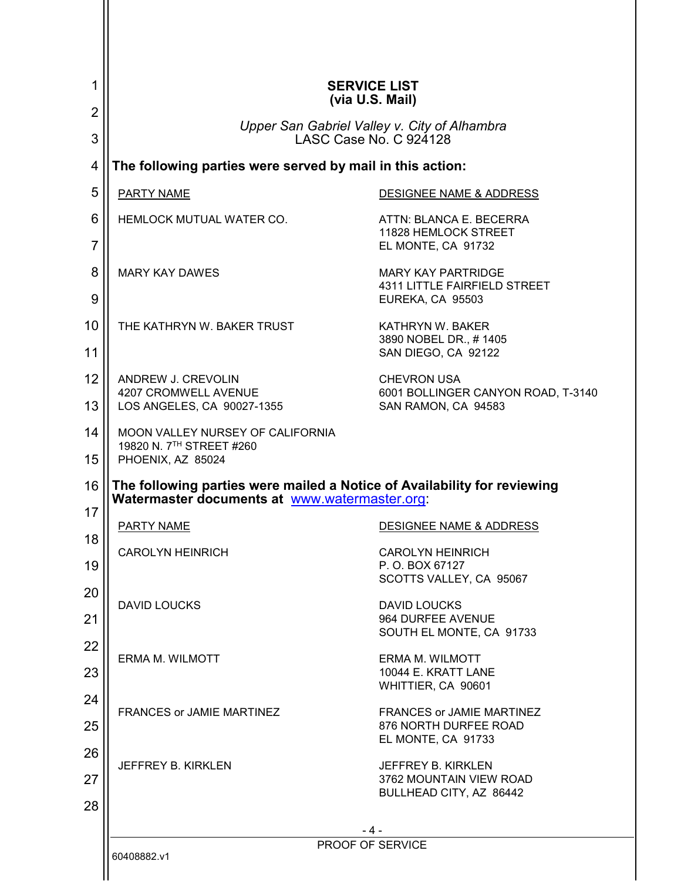| 1                   | <b>SERVICE LIST</b><br>(via U.S. Mail)                                                                                    |                                                                                 |  |
|---------------------|---------------------------------------------------------------------------------------------------------------------------|---------------------------------------------------------------------------------|--|
| 2<br>3              | Upper San Gabriel Valley v. City of Alhambra<br>LASC Case No. C 924128                                                    |                                                                                 |  |
| 4                   |                                                                                                                           | The following parties were served by mail in this action:                       |  |
| 5                   | PARTY NAME                                                                                                                | DESIGNEE NAME & ADDRESS                                                         |  |
| 6<br>$\overline{7}$ | HEMLOCK MUTUAL WATER CO.                                                                                                  | ATTN: BLANCA E. BECERRA<br>11828 HEMLOCK STREET<br>EL MONTE, CA 91732           |  |
| 8<br>9              | <b>MARY KAY DAWES</b>                                                                                                     | <b>MARY KAY PARTRIDGE</b><br>4311 LITTLE FAIRFIELD STREET<br>EUREKA, CA 95503   |  |
| 10<br>11            | THE KATHRYN W. BAKER TRUST                                                                                                | KATHRYN W. BAKER<br>3890 NOBEL DR., #1405<br>SAN DIEGO, CA 92122                |  |
| 12<br>13            | ANDREW J. CREVOLIN<br>4207 CROMWELL AVENUE<br>LOS ANGELES, CA 90027-1355                                                  | <b>CHEVRON USA</b><br>6001 BOLLINGER CANYON ROAD, T-3140<br>SAN RAMON, CA 94583 |  |
| 14<br>15            | MOON VALLEY NURSEY OF CALIFORNIA<br>19820 N. 7TH STREET #260<br>PHOENIX, AZ 85024                                         |                                                                                 |  |
| 16                  | The following parties were mailed a Notice of Availability for reviewing<br>Watermaster documents at www.watermaster.org. |                                                                                 |  |
| 17                  | PARTY NAME                                                                                                                | <b>DESIGNEE NAME &amp; ADDRESS</b>                                              |  |
| 18<br>19            | <b>CAROLYN HEINRICH</b>                                                                                                   | <b>CAROLYN HEINRICH</b><br>P. O. BOX 67127<br>SCOTTS VALLEY, CA 95067           |  |
| 20<br>21            | <b>DAVID LOUCKS</b>                                                                                                       | <b>DAVID LOUCKS</b><br>964 DURFEE AVENUE<br>SOUTH EL MONTE, CA 91733            |  |
| 22<br>23            | <b>ERMA M. WILMOTT</b>                                                                                                    | <b>ERMA M. WILMOTT</b><br>10044 E. KRATT LANE<br>WHITTIER, CA 90601             |  |
| 24<br>25            | <b>FRANCES or JAMIE MARTINEZ</b>                                                                                          | FRANCES or JAMIE MARTINEZ<br>876 NORTH DURFEE ROAD<br>EL MONTE, CA 91733        |  |
| 26<br>27<br>28      | JEFFREY B. KIRKLEN                                                                                                        | JEFFREY B. KIRKLEN<br>3762 MOUNTAIN VIEW ROAD<br>BULLHEAD CITY, AZ 86442        |  |
|                     | - 4 -                                                                                                                     |                                                                                 |  |
|                     | PROOF OF SERVICE<br>60408882.v1                                                                                           |                                                                                 |  |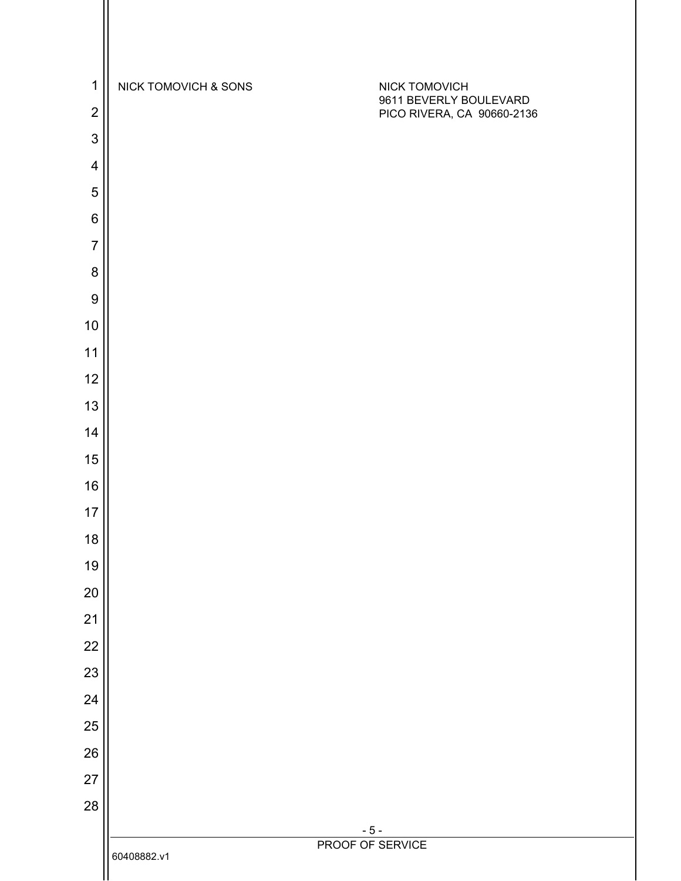| $\mathbf 1$      | NICK TOMOVICH & SONS | NICK TOMOVICH                                        |
|------------------|----------------------|------------------------------------------------------|
| $\overline{2}$   |                      | 9611 BEVERLY BOULEVARD<br>PICO RIVERA, CA 90660-2136 |
| 3                |                      |                                                      |
| $\overline{4}$   |                      |                                                      |
| 5                |                      |                                                      |
| $\,6$            |                      |                                                      |
| $\overline{7}$   |                      |                                                      |
| 8                |                      |                                                      |
| $\boldsymbol{9}$ |                      |                                                      |
| 10               |                      |                                                      |
| 11               |                      |                                                      |
| 12               |                      |                                                      |
| 13               |                      |                                                      |
| 14               |                      |                                                      |
| 15<br>16         |                      |                                                      |
| 17               |                      |                                                      |
| 18               |                      |                                                      |
| 19               |                      |                                                      |
| 20               |                      |                                                      |
| 21               |                      |                                                      |
| 22               |                      |                                                      |
| 23               |                      |                                                      |
| 24               |                      |                                                      |
| 25               |                      |                                                      |
| 26               |                      |                                                      |
| 27               |                      |                                                      |
| 28               |                      |                                                      |
|                  |                      | $-5-$<br>PROOF OF SERVICE                            |
|                  | 60408882.v1          |                                                      |

 $\mathsf{I}$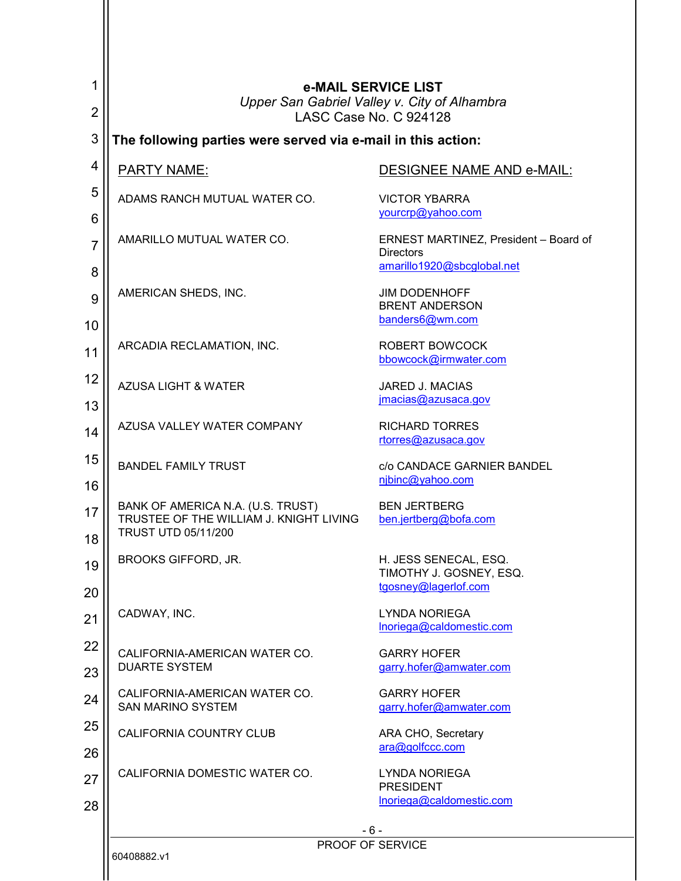| 1                         | e-MAIL SERVICE LIST<br>Upper San Gabriel Valley v. City of Alhambra                                        |                                                                          |
|---------------------------|------------------------------------------------------------------------------------------------------------|--------------------------------------------------------------------------|
| $\overline{2}$            | LASC Case No. C 924128                                                                                     |                                                                          |
| 3                         | The following parties were served via e-mail in this action:                                               |                                                                          |
| 4                         | <b>PARTY NAME:</b>                                                                                         | DESIGNEE NAME AND e-MAIL:                                                |
| 5<br>6                    | ADAMS RANCH MUTUAL WATER CO.                                                                               | <b>VICTOR YBARRA</b><br>yourcrp@yahoo.com                                |
| $\overline{7}$            | AMARILLO MUTUAL WATER CO.                                                                                  | ERNEST MARTINEZ, President - Board of<br><b>Directors</b>                |
| 8                         |                                                                                                            | amarillo1920@sbcglobal.net                                               |
| 9<br>10                   | AMERICAN SHEDS, INC.                                                                                       | <b>JIM DODENHOFF</b><br><b>BRENT ANDERSON</b><br>banders6@wm.com         |
| 11                        | ARCADIA RECLAMATION, INC.                                                                                  | <b>ROBERT BOWCOCK</b><br>bbowcock@irmwater.com                           |
| 12<br>13                  | <b>AZUSA LIGHT &amp; WATER</b>                                                                             | <b>JARED J. MACIAS</b><br>jmacias@azusaca.gov                            |
| 14                        | AZUSA VALLEY WATER COMPANY                                                                                 | <b>RICHARD TORRES</b><br>rtorres@azusaca.gov                             |
| 15<br>16                  | <b>BANDEL FAMILY TRUST</b>                                                                                 | c/o CANDACE GARNIER BANDEL<br>njbinc@yahoo.com                           |
| 17<br>18                  | BANK OF AMERICA N.A. (U.S. TRUST)<br>TRUSTEE OF THE WILLIAM J. KNIGHT LIVING<br><b>TRUST UTD 05/11/200</b> | <b>BEN JERTBERG</b><br>ben.jertberg@bofa.com                             |
| 19<br>20                  | <b>BROOKS GIFFORD, JR.</b>                                                                                 | H. JESS SENECAL, ESQ.<br>TIMOTHY J. GOSNEY, ESQ.<br>tgosney@lagerlof.com |
| 21                        | CADWAY, INC.                                                                                               | <b>LYNDA NORIEGA</b><br>Inoriega@caldomestic.com                         |
| 22<br>23                  | CALIFORNIA-AMERICAN WATER CO.<br><b>DUARTE SYSTEM</b>                                                      | <b>GARRY HOFER</b><br>garry.hofer@amwater.com                            |
| 24                        | CALIFORNIA-AMERICAN WATER CO.<br><b>SAN MARINO SYSTEM</b>                                                  | <b>GARRY HOFER</b><br>garry.hofer@amwater.com                            |
| 25                        | CALIFORNIA COUNTRY CLUB                                                                                    | ARA CHO, Secretary<br>ara@golfccc.com                                    |
| 26<br>27                  | CALIFORNIA DOMESTIC WATER CO.                                                                              | <b>LYNDA NORIEGA</b>                                                     |
| 28                        |                                                                                                            | <b>PRESIDENT</b><br>Inoriega@caldomestic.com                             |
| - 6 -<br>PROOF OF SERVICE |                                                                                                            |                                                                          |
| 60408882.v1               |                                                                                                            |                                                                          |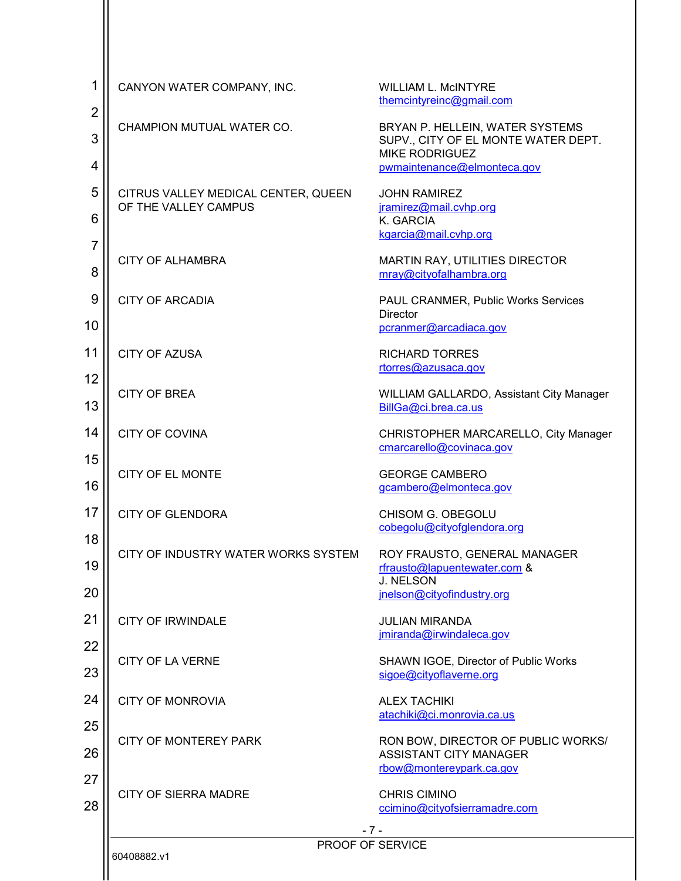| 1                        | CANYON WATER COMPANY, INC.                                  | <b>WILLIAM L. MCINTYRE</b><br>themcintyreinc@gmail.com                                                                         |
|--------------------------|-------------------------------------------------------------|--------------------------------------------------------------------------------------------------------------------------------|
| $\overline{2}$<br>3<br>4 | CHAMPION MUTUAL WATER CO.                                   | BRYAN P. HELLEIN, WATER SYSTEMS<br>SUPV., CITY OF EL MONTE WATER DEPT.<br><b>MIKE RODRIGUEZ</b><br>pwmaintenance@elmonteca.gov |
| 5<br>6                   | CITRUS VALLEY MEDICAL CENTER, QUEEN<br>OF THE VALLEY CAMPUS | <b>JOHN RAMIREZ</b><br>jramirez@mail.cvhp.org<br>K. GARCIA<br>kgarcia@mail.cvhp.org                                            |
| $\overline{7}$<br>8      | <b>CITY OF ALHAMBRA</b>                                     | MARTIN RAY, UTILITIES DIRECTOR<br>mray@cityofalhambra.org                                                                      |
| 9<br>10                  | <b>CITY OF ARCADIA</b>                                      | PAUL CRANMER, Public Works Services<br><b>Director</b><br>pcranmer@arcadiaca.gov                                               |
| 11<br>12                 | <b>CITY OF AZUSA</b>                                        | <b>RICHARD TORRES</b><br>rtorres@azusaca.gov                                                                                   |
| 13                       | <b>CITY OF BREA</b>                                         | WILLIAM GALLARDO, Assistant City Manager<br>BillGa@ci.brea.ca.us                                                               |
| 14<br>15                 | <b>CITY OF COVINA</b>                                       | CHRISTOPHER MARCARELLO, City Manager<br>cmarcarello@covinaca.gov                                                               |
| 16                       | <b>CITY OF EL MONTE</b>                                     | <b>GEORGE CAMBERO</b><br>gcambero@elmonteca.gov                                                                                |
| 17<br>18                 | <b>CITY OF GLENDORA</b>                                     | CHISOM G. OBEGOLU<br>cobegolu@cityofglendora.org                                                                               |
| 19<br>20                 | CITY OF INDUSTRY WATER WORKS SYSTEM                         | ROY FRAUSTO, GENERAL MANAGER<br>rfrausto@lapuentewater.com &<br><b>J. NELSON</b><br>jnelson@cityofindustry.org                 |
| 21                       | <b>CITY OF IRWINDALE</b>                                    | <b>JULIAN MIRANDA</b><br>jmiranda@irwindaleca.gov                                                                              |
| 22<br>23                 | <b>CITY OF LA VERNE</b>                                     | SHAWN IGOE, Director of Public Works<br>sigoe@cityoflaverne.org                                                                |
| 24                       | <b>CITY OF MONROVIA</b>                                     | <b>ALEX TACHIKI</b><br>atachiki@ci.monrovia.ca.us                                                                              |
| 25<br>26<br>27           | <b>CITY OF MONTEREY PARK</b>                                | RON BOW, DIRECTOR OF PUBLIC WORKS/<br><b>ASSISTANT CITY MANAGER</b><br>rbow@montereypark.ca.gov                                |
| 28                       | <b>CITY OF SIERRA MADRE</b>                                 | <b>CHRIS CIMINO</b><br>ccimino@cityofsierramadre.com                                                                           |
|                          |                                                             | $-7-$<br>PROOF OF SERVICE                                                                                                      |
|                          | 60408882.v1                                                 |                                                                                                                                |

Ш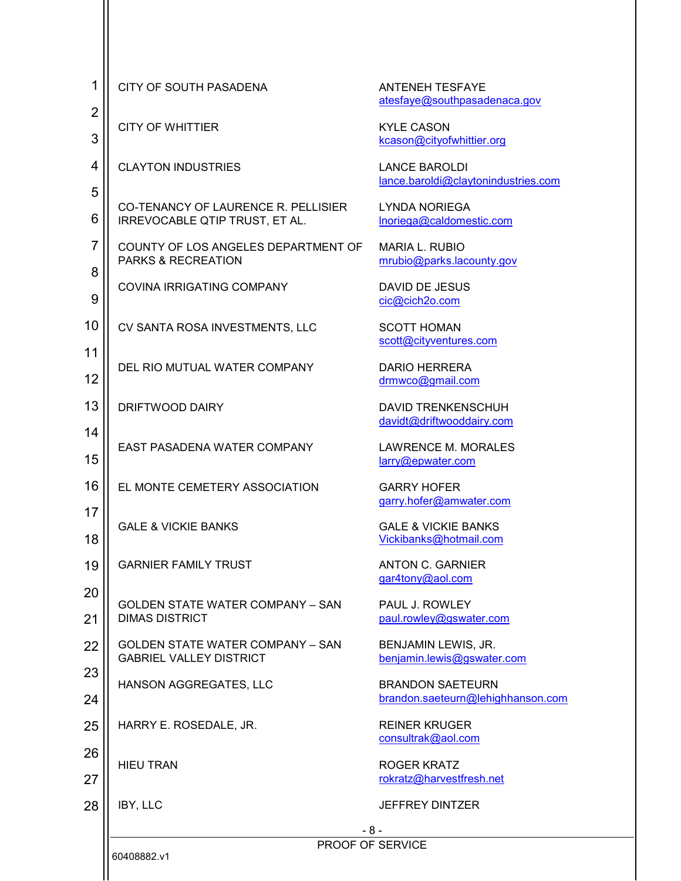| 1                   | CITY OF SOUTH PASADENA                                                    | <b>ANTENEH TESFAYE</b><br>atesfaye@southpasadenaca.gov       |
|---------------------|---------------------------------------------------------------------------|--------------------------------------------------------------|
| $\overline{2}$<br>3 | <b>CITY OF WHITTIER</b>                                                   | <b>KYLE CASON</b><br>kcason@cityofwhittier.org               |
| 4                   | <b>CLAYTON INDUSTRIES</b>                                                 | <b>LANCE BAROLDI</b><br>lance.baroldi@claytonindustries.com  |
| 5<br>6              | CO-TENANCY OF LAURENCE R. PELLISIER<br>IRREVOCABLE QTIP TRUST, ET AL.     | <b>LYNDA NORIEGA</b><br>Inoriega@caldomestic.com             |
| $\overline{7}$<br>8 | COUNTY OF LOS ANGELES DEPARTMENT OF<br><b>PARKS &amp; RECREATION</b>      | <b>MARIA L. RUBIO</b><br>mrubio@parks.lacounty.gov           |
| 9                   | <b>COVINA IRRIGATING COMPANY</b>                                          | <b>DAVID DE JESUS</b><br>cic@cich2o.com                      |
| 10                  | CV SANTA ROSA INVESTMENTS, LLC                                            | <b>SCOTT HOMAN</b><br>scott@cityventures.com                 |
| 11<br>12            | DEL RIO MUTUAL WATER COMPANY                                              | <b>DARIO HERRERA</b><br>drmwco@gmail.com                     |
| 13                  | DRIFTWOOD DAIRY                                                           | <b>DAVID TRENKENSCHUH</b><br>davidt@driftwooddairy.com       |
| 14<br>15            | EAST PASADENA WATER COMPANY                                               | <b>LAWRENCE M. MORALES</b><br>larry@epwater.com              |
| 16                  | EL MONTE CEMETERY ASSOCIATION                                             | <b>GARRY HOFER</b><br>garry.hofer@amwater.com                |
| 17<br>18            | <b>GALE &amp; VICKIE BANKS</b>                                            | <b>GALE &amp; VICKIE BANKS</b><br>Vickibanks@hotmail.com     |
| 19                  | <b>GARNIER FAMILY TRUST</b>                                               | <b>ANTON C. GARNIER</b><br>gar4tony@aol.com                  |
| 20<br>21            | <b>GOLDEN STATE WATER COMPANY - SAN</b><br><b>DIMAS DISTRICT</b>          | PAUL J. ROWLEY<br>paul.rowley@gswater.com                    |
| 22                  | <b>GOLDEN STATE WATER COMPANY - SAN</b><br><b>GABRIEL VALLEY DISTRICT</b> | BENJAMIN LEWIS, JR.<br>benjamin.lewis@gswater.com            |
| 23<br>24            | HANSON AGGREGATES, LLC                                                    | <b>BRANDON SAETEURN</b><br>brandon.saeteurn@lehighhanson.com |
| 25                  | HARRY E. ROSEDALE, JR.                                                    | <b>REINER KRUGER</b><br>consultrak@aol.com                   |
| 26<br>27            | <b>HIEU TRAN</b>                                                          | ROGER KRATZ<br>rokratz@harvestfresh.net                      |
| 28                  | IBY, LLC                                                                  | <b>JEFFREY DINTZER</b>                                       |
|                     | 60408882.v1                                                               | - 8 -<br>PROOF OF SERVICE                                    |

Ш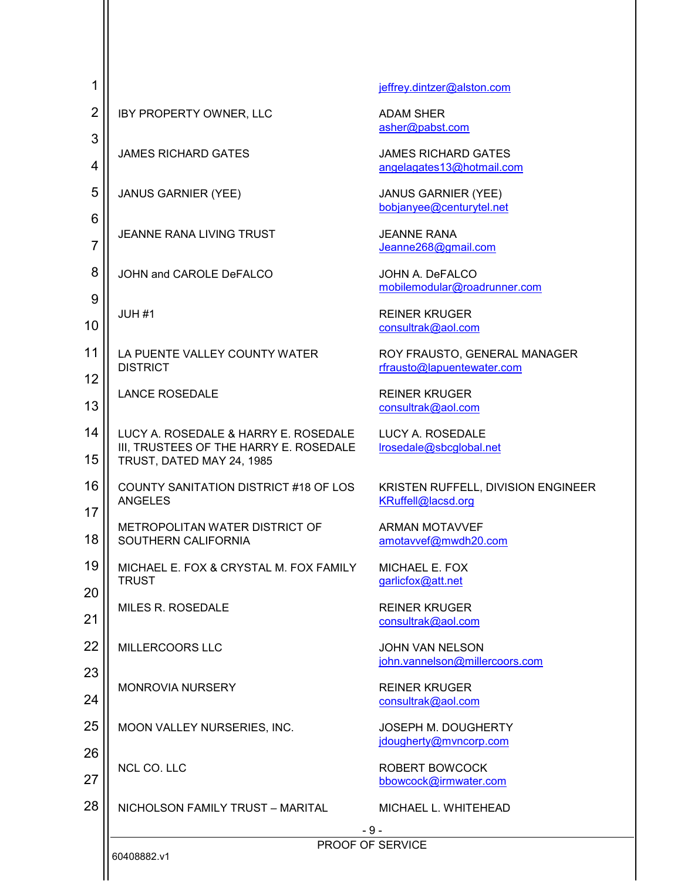| 1                   |                                                                                                             | jeffrey.dintzer@alston.com                                 |
|---------------------|-------------------------------------------------------------------------------------------------------------|------------------------------------------------------------|
| $\overline{2}$      | IBY PROPERTY OWNER, LLC                                                                                     | <b>ADAM SHER</b><br>asher@pabst.com                        |
| 3<br>4              | <b>JAMES RICHARD GATES</b>                                                                                  | <b>JAMES RICHARD GATES</b><br>angelagates13@hotmail.com    |
| 5                   | <b>JANUS GARNIER (YEE)</b>                                                                                  | <b>JANUS GARNIER (YEE)</b><br>bobjanyee@centurytel.net     |
| 6<br>$\overline{7}$ | <b>JEANNE RANA LIVING TRUST</b>                                                                             | <b>JEANNE RANA</b><br>Jeanne268@gmail.com                  |
| 8                   | JOHN and CAROLE DeFALCO                                                                                     | JOHN A. DeFALCO<br>mobilemodular@roadrunner.com            |
| 9<br>10             | JUH <sub>#1</sub>                                                                                           | <b>REINER KRUGER</b><br>consultrak@aol.com                 |
| 11<br>12            | LA PUENTE VALLEY COUNTY WATER<br><b>DISTRICT</b>                                                            | ROY FRAUSTO, GENERAL MANAGER<br>rfrausto@lapuentewater.com |
| 13                  | <b>LANCE ROSEDALE</b>                                                                                       | <b>REINER KRUGER</b><br>consultrak@aol.com                 |
| 14<br>15            | LUCY A. ROSEDALE & HARRY E. ROSEDALE<br>III, TRUSTEES OF THE HARRY E. ROSEDALE<br>TRUST, DATED MAY 24, 1985 | LUCY A. ROSEDALE<br>lrosedale@sbcglobal.net                |
| 16                  | <b>COUNTY SANITATION DISTRICT #18 OF LOS</b><br><b>ANGELES</b>                                              | KRISTEN RUFFELL, DIVISION ENGINEER<br>KRuffell@lacsd.org   |
| 17<br>18            | METROPOLITAN WATER DISTRICT OF<br>SOUTHERN CALIFORNIA                                                       | <b>ARMAN MOTAVVEF</b><br>amotavvef@mwdh20.com              |
| 19                  | MICHAEL E. FOX & CRYSTAL M. FOX FAMILY<br><b>TRUST</b>                                                      | MICHAEL E. FOX<br>garlicfox@att.net                        |
| 20<br>21            | <b>MILES R. ROSEDALE</b>                                                                                    | <b>REINER KRUGER</b><br>consultrak@aol.com                 |
| 22                  | MILLERCOORS LLC                                                                                             | <b>JOHN VAN NELSON</b><br>john.vannelson@millercoors.com   |
| 23<br>24            | <b>MONROVIA NURSERY</b>                                                                                     | <b>REINER KRUGER</b><br>consultrak@aol.com                 |
| 25                  | MOON VALLEY NURSERIES, INC.                                                                                 | JOSEPH M. DOUGHERTY<br>jdougherty@mvncorp.com              |
| 26<br>27            | NCL CO. LLC                                                                                                 | ROBERT BOWCOCK<br>bbowcock@irmwater.com                    |
| 28                  | NICHOLSON FAMILY TRUST - MARITAL                                                                            | MICHAEL L. WHITEHEAD                                       |
|                     | 60408882.v1                                                                                                 | - 9 -<br>PROOF OF SERVICE                                  |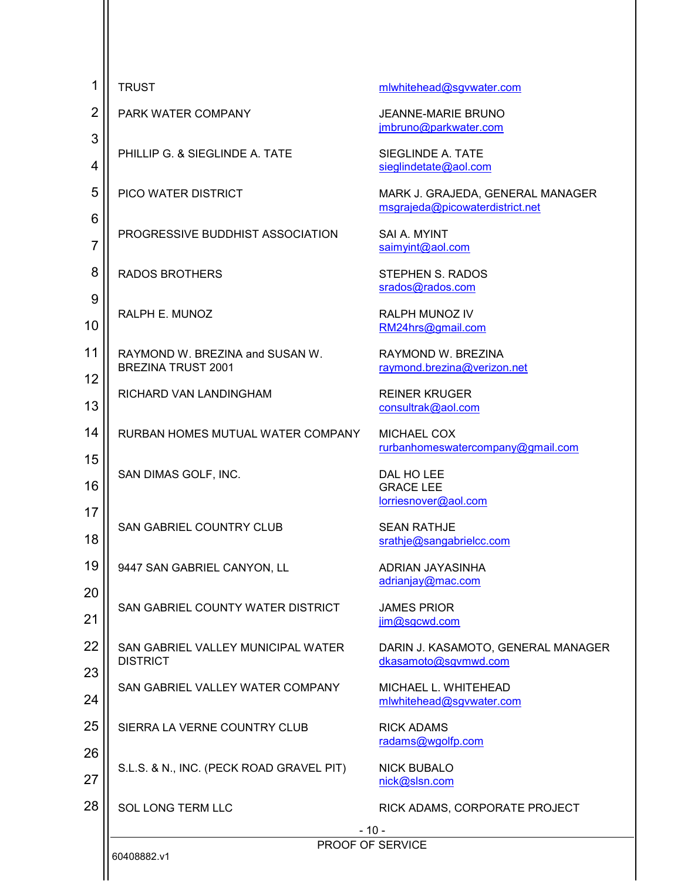| 1                   | <b>TRUST</b>                                                 | mlwhitehead@sgvwater.com                                            |
|---------------------|--------------------------------------------------------------|---------------------------------------------------------------------|
| $\overline{2}$      | PARK WATER COMPANY                                           | <b>JEANNE-MARIE BRUNO</b><br>jmbruno@parkwater.com                  |
| 3<br>4              | PHILLIP G. & SIEGLINDE A. TATE                               | SIEGLINDE A. TATE<br>sieglindetate@aol.com                          |
| 5                   | PICO WATER DISTRICT                                          | MARK J. GRAJEDA, GENERAL MANAGER<br>msgrajeda@picowaterdistrict.net |
| 6<br>$\overline{7}$ | PROGRESSIVE BUDDHIST ASSOCIATION                             | SAI A. MYINT<br>saimyint@aol.com                                    |
| 8                   | <b>RADOS BROTHERS</b>                                        | <b>STEPHEN S. RADOS</b><br>srados@rados.com                         |
| 9<br>10             | RALPH E. MUNOZ                                               | RALPH MUNOZ IV<br>RM24hrs@gmail.com                                 |
| 11<br>12            | RAYMOND W. BREZINA and SUSAN W.<br><b>BREZINA TRUST 2001</b> | RAYMOND W. BREZINA<br>raymond.brezina@verizon.net                   |
| 13                  | RICHARD VAN LANDINGHAM                                       | <b>REINER KRUGER</b><br>consultrak@aol.com                          |
| 14                  | RURBAN HOMES MUTUAL WATER COMPANY                            | MICHAEL COX<br>rurbanhomeswatercompany@gmail.com                    |
| 15<br>16            | SAN DIMAS GOLF, INC.                                         | DAL HO LEE<br><b>GRACE LEE</b><br>lorriesnover@aol.com              |
| 17<br>18            | <b>SAN GABRIEL COUNTRY CLUB</b>                              | <b>SEAN RATHJE</b><br>srathje@sangabrielcc.com                      |
| 19                  | 9447 SAN GABRIEL CANYON, LL                                  | ADRIAN JAYASINHA<br>adrianjay@mac.com                               |
| 20<br>21            | SAN GABRIEL COUNTY WATER DISTRICT                            | <b>JAMES PRIOR</b><br>jim@sgcwd.com                                 |
| 22                  | SAN GABRIEL VALLEY MUNICIPAL WATER<br><b>DISTRICT</b>        | DARIN J. KASAMOTO, GENERAL MANAGER<br>dkasamoto@sgvmwd.com          |
| 23<br>24            | SAN GABRIEL VALLEY WATER COMPANY                             | MICHAEL L. WHITEHEAD<br>mlwhitehead@sgvwater.com                    |
| 25                  | SIERRA LA VERNE COUNTRY CLUB                                 | <b>RICK ADAMS</b><br>radams@wgolfp.com                              |
| 26<br>27            | S.L.S. & N., INC. (PECK ROAD GRAVEL PIT)                     | <b>NICK BUBALO</b><br>nick@slsn.com                                 |
| 28                  | <b>SOL LONG TERM LLC</b>                                     | RICK ADAMS, CORPORATE PROJECT                                       |
|                     |                                                              | $-10-$                                                              |
|                     | PROOF OF SERVICE<br>60408882.v1                              |                                                                     |
|                     |                                                              |                                                                     |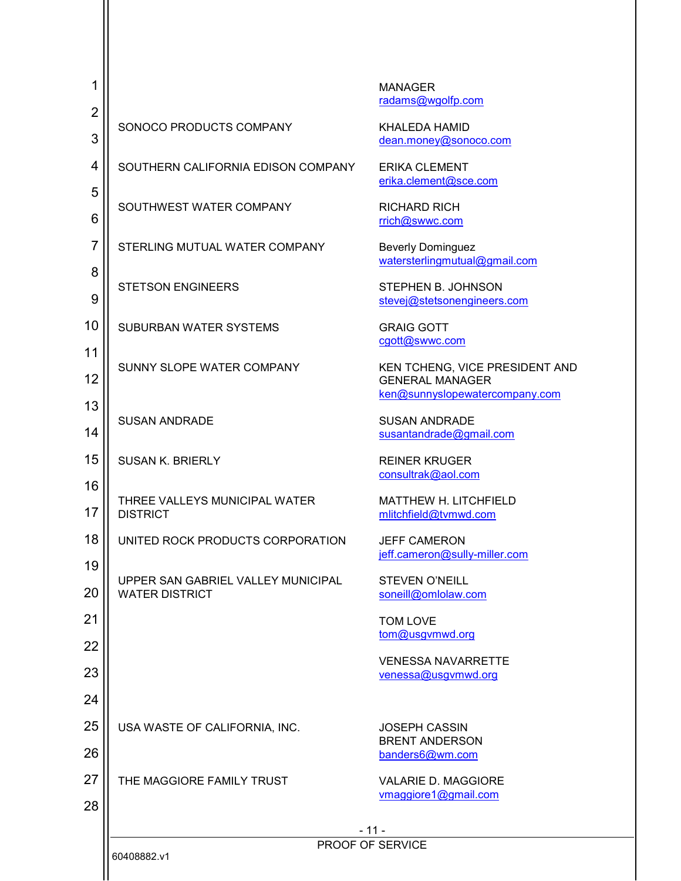| 1              |                                                             | <b>MANAGER</b>                                                                             |
|----------------|-------------------------------------------------------------|--------------------------------------------------------------------------------------------|
| $\overline{2}$ |                                                             | radams@wgolfp.com                                                                          |
| 3              | SONOCO PRODUCTS COMPANY                                     | <b>KHALEDA HAMID</b><br>dean.money@sonoco.com                                              |
| 4<br>5         | SOUTHERN CALIFORNIA EDISON COMPANY                          | <b>ERIKA CLEMENT</b><br>erika.clement@sce.com                                              |
| 6              | SOUTHWEST WATER COMPANY                                     | <b>RICHARD RICH</b><br>rrich@swwc.com                                                      |
| $\overline{7}$ | STERLING MUTUAL WATER COMPANY                               | <b>Beverly Dominguez</b><br>watersterlingmutual@gmail.com                                  |
| 8<br>9         | <b>STETSON ENGINEERS</b>                                    | STEPHEN B. JOHNSON<br>stevej@stetsonengineers.com                                          |
| 10             | SUBURBAN WATER SYSTEMS                                      | <b>GRAIG GOTT</b><br>cgott@swwc.com                                                        |
| 11<br>12       | SUNNY SLOPE WATER COMPANY                                   | KEN TCHENG, VICE PRESIDENT AND<br><b>GENERAL MANAGER</b><br>ken@sunnyslopewatercompany.com |
| 13<br>14       | <b>SUSAN ANDRADE</b>                                        | <b>SUSAN ANDRADE</b><br>susantandrade@gmail.com                                            |
| 15             | <b>SUSAN K. BRIERLY</b>                                     | <b>REINER KRUGER</b><br>consultrak@aol.com                                                 |
| 16<br>17       | THREE VALLEYS MUNICIPAL WATER<br><b>DISTRICT</b>            | MATTHEW H. LITCHFIELD<br>mlitchfield@tvmwd.com                                             |
| 18             | UNITED ROCK PRODUCTS CORPORATION                            | <b>JEFF CAMERON</b><br>jeff.cameron@sully-miller.com                                       |
| 19<br>20       | UPPER SAN GABRIEL VALLEY MUNICIPAL<br><b>WATER DISTRICT</b> | <b>STEVEN O'NEILL</b><br>soneill@omlolaw.com                                               |
| 21             |                                                             | <b>TOM LOVE</b><br>tom@usgvmwd.org                                                         |
| 22<br>23       |                                                             | <b>VENESSA NAVARRETTE</b><br>venessa@usgvmwd.org                                           |
| 24             |                                                             |                                                                                            |
| 25<br>26       | USA WASTE OF CALIFORNIA, INC.                               | <b>JOSEPH CASSIN</b><br><b>BRENT ANDERSON</b><br>banders6@wm.com                           |
| 27<br>28       | THE MAGGIORE FAMILY TRUST                                   | <b>VALARIE D. MAGGIORE</b><br>vmaggiore1@gmail.com                                         |
|                |                                                             | - 11 -                                                                                     |
|                |                                                             | PROOF OF SERVICE                                                                           |
|                | 60408882.v1                                                 |                                                                                            |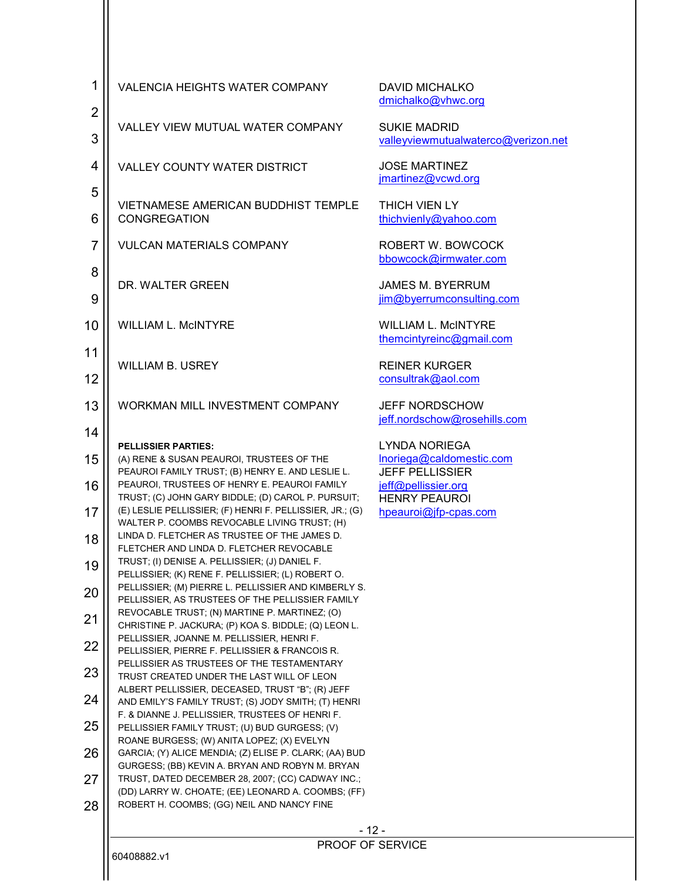| 1<br>$\overline{c}$ | <b>VALENCIA HEIGHTS WATER COMPANY</b>                                                                                                                          | <b>DAVID MICHALKO</b><br>dmichalko@vhwc.org                |
|---------------------|----------------------------------------------------------------------------------------------------------------------------------------------------------------|------------------------------------------------------------|
| 3                   | VALLEY VIEW MUTUAL WATER COMPANY                                                                                                                               | <b>SUKIE MADRID</b><br>valleyviewmutualwaterco@verizon.net |
| 4                   | <b>VALLEY COUNTY WATER DISTRICT</b>                                                                                                                            | <b>JOSE MARTINEZ</b><br>jmartinez@vcwd.org                 |
| 5<br>6              | VIETNAMESE AMERICAN BUDDHIST TEMPLE<br><b>CONGREGATION</b>                                                                                                     | THICH VIEN LY<br>thichvienly@yahoo.com                     |
| $\overline{7}$      | <b>VULCAN MATERIALS COMPANY</b>                                                                                                                                | ROBERT W. BOWCOCK<br>bbowcock@irmwater.com                 |
| 8                   | DR. WALTER GREEN                                                                                                                                               | <b>JAMES M. BYERRUM</b>                                    |
| 9                   |                                                                                                                                                                | jim@byerrumconsulting.com                                  |
| 10                  | <b>WILLIAM L. McINTYRE</b>                                                                                                                                     | <b>WILLIAM L. MCINTYRE</b><br>themcintyreinc@gmail.com     |
| 11<br>12            | <b>WILLIAM B. USREY</b>                                                                                                                                        | <b>REINER KURGER</b><br>consultrak@aol.com                 |
| 13                  | WORKMAN MILL INVESTMENT COMPANY                                                                                                                                | <b>JEFF NORDSCHOW</b><br>jeff.nordschow@rosehills.com      |
| 14                  | <b>PELLISSIER PARTIES:</b>                                                                                                                                     | <b>LYNDA NORIEGA</b>                                       |
| 15                  | (A) RENE & SUSAN PEAUROI, TRUSTEES OF THE<br>PEAUROI FAMILY TRUST; (B) HENRY E. AND LESLIE L.                                                                  | Inoriega@caldomestic.com<br><b>JEFF PELLISSIER</b>         |
| 16<br>17            | PEAUROI, TRUSTEES OF HENRY E. PEAUROI FAMILY<br>TRUST; (C) JOHN GARY BIDDLE; (D) CAROL P. PURSUIT;<br>(E) LESLIE PELLISSIER; (F) HENRI F. PELLISSIER, JR.; (G) | jeff@pellissier.org<br><b>HENRY PEAUROI</b>                |
| 18                  | WALTER P. COOMBS REVOCABLE LIVING TRUST; (H)<br>LINDA D. FLETCHER AS TRUSTEE OF THE JAMES D.                                                                   | hpeauroi@jfp-cpas.com                                      |
| 19                  | FLETCHER AND LINDA D. FLETCHER REVOCABLE<br>TRUST; (I) DENISE A. PELLISSIER; (J) DANIEL F.<br>PELLISSIER; (K) RENE F. PELLISSIER; (L) ROBERT O.                |                                                            |
| 20                  | PELLISSIER; (M) PIERRE L. PELLISSIER AND KIMBERLY S.<br>PELLISSIER, AS TRUSTEES OF THE PELLISSIER FAMILY                                                       |                                                            |
| 21                  | REVOCABLE TRUST; (N) MARTINE P. MARTINEZ; (O)<br>CHRISTINE P. JACKURA; (P) KOA S. BIDDLE; (Q) LEON L.                                                          |                                                            |
| 22                  | PELLISSIER, JOANNE M. PELLISSIER, HENRI F.<br>PELLISSIER, PIERRE F. PELLISSIER & FRANCOIS R.                                                                   |                                                            |
| 23                  | PELLISSIER AS TRUSTEES OF THE TESTAMENTARY<br>TRUST CREATED UNDER THE LAST WILL OF LEON<br>ALBERT PELLISSIER, DECEASED, TRUST "B"; (R) JEFF                    |                                                            |
| 24                  | AND EMILY'S FAMILY TRUST; (S) JODY SMITH; (T) HENRI<br>F. & DIANNE J. PELLISSIER, TRUSTEES OF HENRI F.                                                         |                                                            |
| 25                  | PELLISSIER FAMILY TRUST; (U) BUD GURGESS; (V)<br>ROANE BURGESS; (W) ANITA LOPEZ; (X) EVELYN                                                                    |                                                            |
| 26                  | GARCIA; (Y) ALICE MENDIA; (Z) ELISE P. CLARK; (AA) BUD<br>GURGESS; (BB) KEVIN A. BRYAN AND ROBYN M. BRYAN                                                      |                                                            |
| 27                  | TRUST, DATED DECEMBER 28, 2007; (CC) CADWAY INC.;<br>(DD) LARRY W. CHOATE; (EE) LEONARD A. COOMBS; (FF)                                                        |                                                            |
| 28                  | ROBERT H. COOMBS; (GG) NEIL AND NANCY FINE                                                                                                                     |                                                            |
|                     |                                                                                                                                                                | - 12 -<br>PROOF OF SERVICE                                 |
|                     | 60408882.v1                                                                                                                                                    |                                                            |